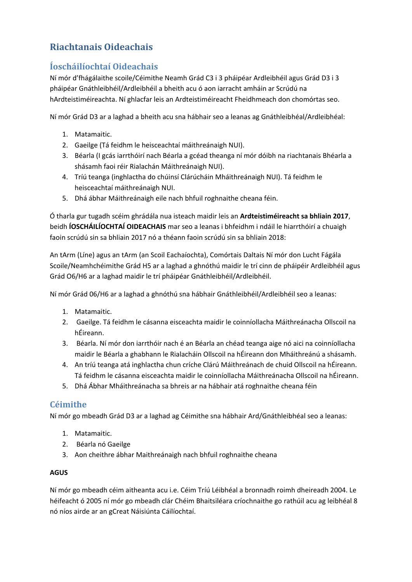# **Riachtanais Oideachais**

## **Íoscháilíochtaí Oideachais**

Ní mór d'fhágálaithe scoile/Céimithe Neamh Grád C3 i 3 pháipéar Ardleibhéil agus Grád D3 i 3 pháipéar Gnáthleibhéil/Ardleibhéil a bheith acu ó aon iarracht amháin ar Scrúdú na hArdteistiméireachta. Ní ghlacfar leis an Ardteistiméireacht Fheidhmeach don chomórtas seo.

Ní mór Grád D3 ar a laghad a bheith acu sna hábhair seo a leanas ag Gnáthleibhéal/Ardleibhéal:

- 1. Matamaitic.
- 2. Gaeilge (Tá feidhm le heisceachtaí máithreánaigh NUI).
- 3. Béarla (I gcás iarrthóirí nach Béarla a gcéad theanga ní mór dóibh na riachtanais Bhéarla a shásamh faoi réir Rialachán Máithreánaigh NUI).
- 4. Tríú teanga (inghlactha do chúinsí Clárúcháin Mháithreánaigh NUI). Tá feidhm le heisceachtaí máithreánaigh NUI.
- 5. Dhá ábhar Máithreánaigh eile nach bhfuil roghnaithe cheana féin.

Ó tharla gur tugadh scéim ghrádála nua isteach maidir leis an **Ardteistiméireacht sa bhliain 2017**, beidh **ÍOSCHÁILÍOCHTAÍ OIDEACHAIS** mar seo a leanas i bhfeidhm i ndáil le hiarrthóirí a chuaigh faoin scrúdú sin sa bhliain 2017 nó a théann faoin scrúdú sin sa bhliain 2018:

An tArm (Líne) agus an tArm (an Scoil Eachaíochta), Comórtais Daltais Ní mór don Lucht Fágála Scoile/Neamhchéimithe Grád H5 ar a laghad a ghnóthú maidir le trí cinn de pháipéir Ardleibhéil agus Grád O6/H6 ar a laghad maidir le trí pháipéar Gnáthleibhéil/Ardleibhéil.

Ní mór Grád 06/H6 ar a laghad a ghnóthú sna hábhair Gnáthleibhéil/Ardleibhéil seo a leanas:

- 1. Matamaitic.
- 2. Gaeilge. Tá feidhm le cásanna eisceachta maidir le coinníollacha Máithreánacha Ollscoil na hÉireann.
- 3. Béarla. Ní mór don iarrthóir nach é an Béarla an chéad teanga aige nó aici na coinníollacha maidir le Béarla a ghabhann le Rialacháin Ollscoil na hÉireann don Mháithreánú a shásamh.
- 4. An tríú teanga atá inghlactha chun críche Clárú Máithreánach de chuid Ollscoil na hÉireann. Tá feidhm le cásanna eisceachta maidir le coinníollacha Máithreánacha Ollscoil na hÉireann.
- 5. Dhá Ábhar Mháithreánacha sa bhreis ar na hábhair atá roghnaithe cheana féin

## **Céimithe**

Ní mór go mbeadh Grád D3 ar a laghad ag Céimithe sna hábhair Ard/Gnáthleibhéal seo a leanas:

- 1. Matamaitic.
- 2. Béarla nó Gaeilge
- 3. Aon cheithre ábhar Maithreánaigh nach bhfuil roghnaithe cheana

### **AGUS**

Ní mór go mbeadh céim aitheanta acu i.e. Céim Tríú Léibhéal a bronnadh roimh dheireadh 2004. Le héifeacht ó 2005 ní mór go mbeadh clár Chéim Bhaitsiléara críochnaithe go rathúil acu ag leibhéal 8 nó níos airde ar an gCreat Náisiúnta Cáilíochtaí.